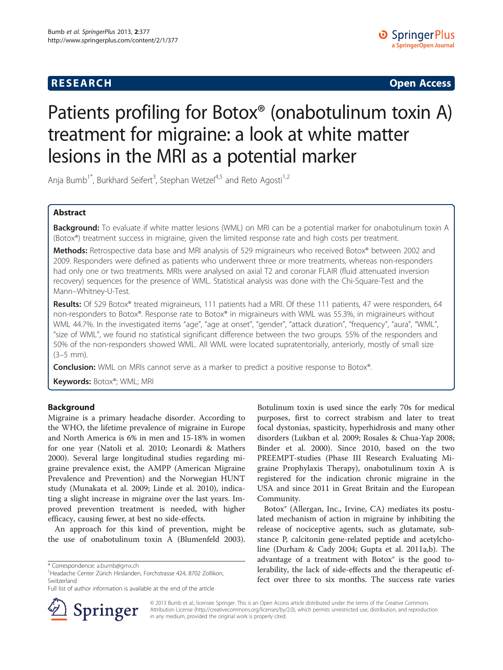# **RESEARCH RESEARCH** *CHECK CHECK CHECK CHECK CHECK CHECK CHECK CHECK CHECK CHECK CHECK CHECK CHECK CHECK CHECK CHECK CHECK CHECK CHECK CHECK CHECK CHECK CHECK CHECK CHECK CHECK CHECK CHECK CHECK CHECK CHECK CHECK CHECK*

# Patients profiling for Botox® (onabotulinum toxin A) treatment for migraine: a look at white matter lesions in the MRI as a potential marker

Anja Bumb<sup>1\*</sup>, Burkhard Seifert<sup>3</sup>, Stephan Wetzel<sup>4,5</sup> and Reto Agosti<sup>1,2</sup>

# Abstract

Background: To evaluate if white matter lesions (WML) on MRI can be a potential marker for onabotulinum toxin A (Botox®) treatment success in migraine, given the limited response rate and high costs per treatment.

Methods: Retrospective data base and MRI analysis of 529 migraineurs who received Botox® between 2002 and 2009. Responders were defined as patients who underwent three or more treatments, whereas non-responders had only one or two treatments. MRIs were analysed on axial T2 and coronar FLAIR (fluid attenuated inversion recovery) sequences for the presence of WML. Statistical analysis was done with the Chi-Square-Test and the Mann–Whitney-U-Test.

Results: Of 529 Botox® treated migraineurs, 111 patients had a MRI. Of these 111 patients, 47 were responders, 64 non-responders to Botox®. Response rate to Botox® in migraineurs with WML was 55.3%, in migraineurs without WML 44.7%. In the investigated items "age", "age at onset", "gender", "attack duration", "frequency", "aura", "WML", "size of WML", we found no statistical significant difference between the two groups. 55% of the responders and 50% of the non-responders showed WML. All WML were located supratentorially, anteriorly, mostly of small size (3–5 mm).

**Conclusion:** WML on MRIs cannot serve as a marker to predict a positive response to Botox®.

Keywords: Botox®; WML; MRI

# Background

Migraine is a primary headache disorder. According to the WHO, the lifetime prevalence of migraine in Europe and North America is 6% in men and 15-18% in women for one year (Natoli et al. [2010;](#page-5-0) Leonardi & Mathers [2000](#page-5-0)). Several large longitudinal studies regarding migraine prevalence exist, the AMPP (American Migraine Prevalence and Prevention) and the Norwegian HUNT study (Munakata et al. [2009](#page-5-0); Linde et al. [2010](#page-5-0)), indicating a slight increase in migraine over the last years. Improved prevention treatment is needed, with higher efficacy, causing fewer, at best no side-effects.

An approach for this kind of prevention, might be the use of onabotulinum toxin A (Blumenfeld [2003](#page-4-0)).



Botox® (Allergan, Inc., Irvine, CA) mediates its postulated mechanism of action in migraine by inhibiting the release of nociceptive agents, such as glutamate, substance P, calcitonin gene-related peptide and acetylcholine (Durham & Cady [2004;](#page-5-0) Gupta et al. [2011a,b\)](#page-5-0). The advantage of a treatment with Botox® is the good tolerability, the lack of side-effects and the therapeutic effect over three to six months. The success rate varies



© 2013 Bumb et al.; licensee Springer. This is an Open Access article distributed under the terms of the Creative Commons Attribution License [\(http://creativecommons.org/licenses/by/2.0\)](http://creativecommons.org/licenses/by/2.0), which permits unrestricted use, distribution, and reproduction in any medium, provided the original work is properly cited.

<sup>\*</sup> Correspondence: [a.bumb@gmx.ch](mailto:a.bumb@gmx.ch) <sup>1</sup>

<sup>&</sup>lt;sup>1</sup>Headache Center Zürich Hirslanden, Forchstrasse 424, 8702 Zollikon, **Switzerland** 

Full list of author information is available at the end of the article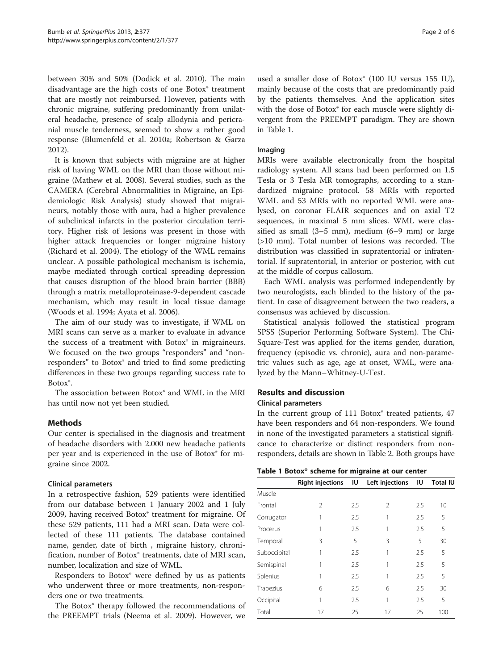between 30% and 50% (Dodick et al. [2010](#page-5-0)). The main disadvantage are the high costs of one Botox® treatment that are mostly not reimbursed. However, patients with chronic migraine, suffering predominantly from unilateral headache, presence of scalp allodynia and pericranial muscle tenderness, seemed to show a rather good response (Blumenfeld et al. [2010a](#page-4-0); Robertson & Garza [2012](#page-5-0)).

It is known that subjects with migraine are at higher risk of having WML on the MRI than those without migraine (Mathew et al. [2008](#page-5-0)). Several studies, such as the CAMERA (Cerebral Abnormalities in Migraine, an Epidemiologic Risk Analysis) study showed that migraineurs, notably those with aura, had a higher prevalence of subclinical infarcts in the posterior circulation territory. Higher risk of lesions was present in those with higher attack frequencies or longer migraine history (Richard et al. [2004](#page-5-0)). The etiology of the WML remains unclear. A possible pathological mechanism is ischemia, maybe mediated through cortical spreading depression that causes disruption of the blood brain barrier (BBB) through a matrix metalloproteinase-9-dependent cascade mechanism, which may result in local tissue damage (Woods et al. [1994](#page-5-0); Ayata et al. [2006\)](#page-4-0).

The aim of our study was to investigate, if WML on MRI scans can serve as a marker to evaluate in advance the success of a treatment with Botox® in migraineurs. We focused on the two groups "responders" and "nonresponders" to Botox® and tried to find some predicting differences in these two groups regarding success rate to Botox®.

The association between Botox® and WML in the MRI has until now not yet been studied.

# Methods

Our center is specialised in the diagnosis and treatment of headache disorders with 2.000 new headache patients per year and is experienced in the use of Botox® for migraine since 2002.

# Clinical parameters

In a retrospective fashion, 529 patients were identified from our database between 1 January 2002 and 1 July 2009, having received Botox® treatment for migraine. Of these 529 patients, 111 had a MRI scan. Data were collected of these 111 patients. The database contained name, gender, date of birth , migraine history, chronification, number of Botox® treatments, date of MRI scan, number, localization and size of WML.

Responders to Botox® were defined by us as patients who underwent three or more treatments, non-responders one or two treatments.

The Botox® therapy followed the recommendations of the PREEMPT trials (Neema et al. [2009\)](#page-5-0). However, we

used a smaller dose of Botox® (100 IU versus 155 IU), mainly because of the costs that are predominantly paid by the patients themselves. And the application sites with the dose of Botox® for each muscle were slightly divergent from the PREEMPT paradigm. They are shown in Table 1.

# Imaging

MRIs were available electronically from the hospital radiology system. All scans had been performed on 1.5 Tesla or 3 Tesla MR tomographs, according to a standardized migraine protocol. 58 MRIs with reported WML and 53 MRIs with no reported WML were analysed, on coronar FLAIR sequences and on axial T2 sequences, in maximal 5 mm slices. WML were classified as small (3–5 mm), medium (6–9 mm) or large (>10 mm). Total number of lesions was recorded. The distribution was classified in supratentorial or infratentorial. If supratentorial, in anterior or posterior, with cut at the middle of corpus callosum.

Each WML analysis was performed independently by two neurologists, each blinded to the history of the patient. In case of disagreement between the two readers, a consensus was achieved by discussion.

Statistical analysis followed the statistical program SPSS (Superior Performing Software System). The Chi-Square-Test was applied for the items gender, duration, frequency (episodic vs. chronic), aura and non-parametric values such as age, age at onset, WML, were analyzed by the Mann–Whitney-U-Test.

# Results and discussion

# Clinical parameters

In the current group of 111 Botox® treated patients, 47 have been responders and 64 non-responders. We found in none of the investigated parameters a statistical significance to characterize or distinct responders from nonresponders, details are shown in Table [2](#page-2-0). Both groups have

|              | <b>Right injections</b> | IU  | Left injections | IU  | Total IU |  |  |
|--------------|-------------------------|-----|-----------------|-----|----------|--|--|
| Muscle       |                         |     |                 |     |          |  |  |
| Frontal      | $\mathfrak{D}$          | 2.5 | $\mathfrak{D}$  | 2.5 | 10       |  |  |
| Corrugator   | 1                       | 2.5 |                 | 2.5 | 5        |  |  |
| Procerus     |                         | 2.5 |                 | 2.5 | 5        |  |  |
| Temporal     | 3                       | 5   | 3               | 5   | 30       |  |  |
| Suboccipital | 1                       | 2.5 |                 | 2.5 | 5        |  |  |
| Semispinal   |                         | 2.5 |                 | 2.5 | 5        |  |  |
| Splenius     | 1                       | 2.5 |                 | 2.5 | 5        |  |  |
| Trapezius    | 6                       | 2.5 | 6               | 2.5 | 30       |  |  |
| Occipital    | 1                       | 2.5 | 1               | 2.5 | 5        |  |  |
| Total        | 17                      | 25  | 17              | 25  | 100      |  |  |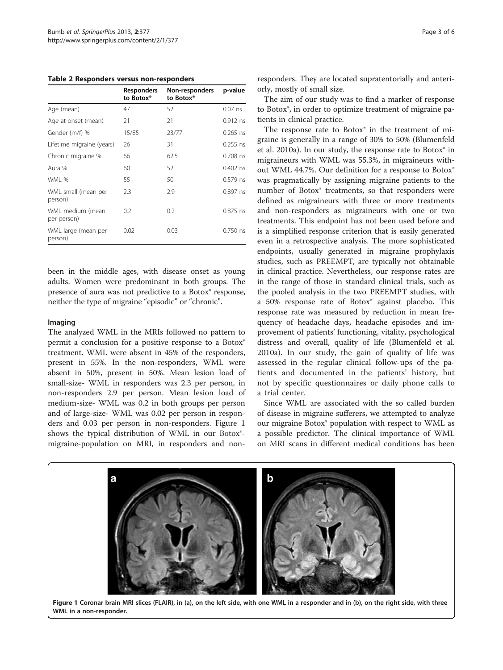<span id="page-2-0"></span>Table 2 Responders versus non-responders

|                                 | <b>Responders</b><br>to Botox <sup>®</sup> | Non-responders<br>to Botox <sup>®</sup> | p-value    |
|---------------------------------|--------------------------------------------|-----------------------------------------|------------|
| Age (mean)                      | 47                                         | 52                                      | $0.07$ ns  |
| Age at onset (mean)             | 21                                         | 21                                      | $0.912$ ns |
| Gender (m/f) %                  | 15/85                                      | 23/77                                   | $0.265$ ns |
| Lifetime migraine (years)       | 26                                         | 31                                      | $0.255$ ns |
| Chronic migraine %              | 66                                         | 62.5                                    | $0.708$ ns |
| Aura %                          | 60                                         | 52                                      | $0.402$ ns |
| WML %                           | 55                                         | 50                                      | $0.579$ ns |
| WML small (mean per<br>person)  | 2.3                                        | 2.9                                     | 0.897 ns   |
| WML medium (mean<br>per person) | 0.2                                        | 0.2                                     | $0.875$ ns |
| WML large (mean per<br>person)  | 0.02                                       | 0.03                                    | $0.750$ ns |

been in the middle ages, with disease onset as young adults. Women were predominant in both groups. The presence of aura was not predictive to a Botox® response, neither the type of migraine "episodic" or "chronic".

#### Imaging

The analyzed WML in the MRIs followed no pattern to permit a conclusion for a positive response to a Botox® treatment. WML were absent in 45% of the responders, present in 55%. In the non-responders, WML were absent in 50%, present in 50%. Mean lesion load of small-size- WML in responders was 2.3 per person, in non-responders 2.9 per person. Mean lesion load of medium-size- WML was 0.2 in both groups per person and of large-size- WML was 0.02 per person in responders and 0.03 per person in non-responders. Figure 1 shows the typical distribution of WML in our Botox® migraine-population on MRI, in responders and nonresponders. They are located supratentorially and anteriorly, mostly of small size.

The aim of our study was to find a marker of response to Botox®, in order to optimize treatment of migraine patients in clinical practice.

The response rate to Botox<sup>®</sup> in the treatment of migraine is generally in a range of 30% to 50% (Blumenfeld et al. [2010a](#page-4-0)). In our study, the response rate to Botox® in migraineurs with WML was 55.3%, in migraineurs without WML 44.7%. Our definition for a response to Botox® was pragmatically by assigning migraine patients to the number of Botox® treatments, so that responders were defined as migraineurs with three or more treatments and non-responders as migraineurs with one or two treatments. This endpoint has not been used before and is a simplified response criterion that is easily generated even in a retrospective analysis. The more sophisticated endpoints, usually generated in migraine prophylaxis studies, such as PREEMPT, are typically not obtainable in clinical practice. Nevertheless, our response rates are in the range of those in standard clinical trials, such as the pooled analysis in the two PREEMPT studies, with a 50% response rate of Botox® against placebo. This response rate was measured by reduction in mean frequency of headache days, headache episodes and improvement of patients' functioning, vitality, psychological distress and overall, quality of life (Blumenfeld et al. [2010a](#page-4-0)). In our study, the gain of quality of life was assessed in the regular clinical follow-ups of the patients and documented in the patients' history, but not by specific questionnaires or daily phone calls to a trial center.

Since WML are associated with the so called burden of disease in migraine sufferers, we attempted to analyze our migraine Botox® population with respect to WML as a possible predictor. The clinical importance of WML on MRI scans in different medical conditions has been

b a

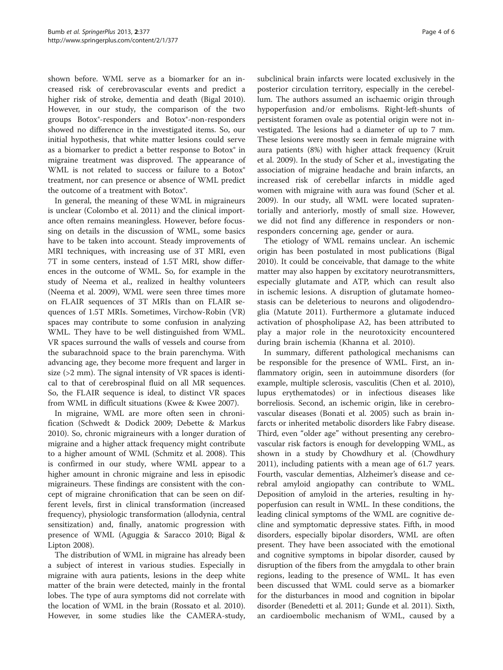shown before. WML serve as a biomarker for an increased risk of cerebrovascular events and predict a higher risk of stroke, dementia and death (Bigal [2010](#page-4-0)). However, in our study, the comparison of the two groups Botox®-responders and Botox®-non-responders showed no difference in the investigated items. So, our initial hypothesis, that white matter lesions could serve as a biomarker to predict a better response to Botox® in migraine treatment was disproved. The appearance of WML is not related to success or failure to a Botox® treatment, nor can presence or absence of WML predict the outcome of a treatment with Botox<sup>®</sup>.

In general, the meaning of these WML in migraineurs is unclear (Colombo et al. [2011](#page-5-0)) and the clinical importance often remains meaningless. However, before focussing on details in the discussion of WML, some basics have to be taken into account. Steady improvements of MRI techniques, with increasing use of 3T MRI, even 7T in some centers, instead of 1.5T MRI, show differences in the outcome of WML. So, for example in the study of Neema et al., realized in healthy volunteers (Neema et al. [2009](#page-5-0)), WML were seen three times more on FLAIR sequences of 3T MRIs than on FLAIR sequences of 1.5T MRIs. Sometimes, Virchow-Robin (VR) spaces may contribute to some confusion in analyzing WML. They have to be well distinguished from WML. VR spaces surround the walls of vessels and course from the subarachnoid space to the brain parenchyma. With advancing age, they become more frequent and larger in size (>2 mm). The signal intensity of VR spaces is identical to that of cerebrospinal fluid on all MR sequences. So, the FLAIR sequence is ideal, to distinct VR spaces from WML in difficult situations (Kwee & Kwee [2007\)](#page-5-0).

In migraine, WML are more often seen in chronification (Schwedt & Dodick [2009](#page-5-0); Debette & Markus [2010](#page-5-0)). So, chronic migraineurs with a longer duration of migraine and a higher attack frequency might contribute to a higher amount of WML (Schmitz et al. [2008\)](#page-5-0). This is confirmed in our study, where WML appear to a higher amount in chronic migraine and less in episodic migraineurs. These findings are consistent with the concept of migraine chronification that can be seen on different levels, first in clinical transformation (increased frequency), physiologic transformation (allodynia, central sensitization) and, finally, anatomic progression with presence of WML (Aguggia & Saracco [2010;](#page-4-0) Bigal & Lipton [2008](#page-4-0)).

The distribution of WML in migraine has already been a subject of interest in various studies. Especially in migraine with aura patients, lesions in the deep white matter of the brain were detected, mainly in the frontal lobes. The type of aura symptoms did not correlate with the location of WML in the brain (Rossato et al. [2010](#page-5-0)). However, in some studies like the CAMERA-study,

subclinical brain infarcts were located exclusively in the posterior circulation territory, especially in the cerebellum. The authors assumed an ischaemic origin through hypoperfusion and/or embolisms. Right-left-shunts of persistent foramen ovale as potential origin were not investigated. The lesions had a diameter of up to 7 mm. These lesions were mostly seen in female migraine with aura patients (8%) with higher attack frequency (Kruit et al. [2009](#page-5-0)). In the study of Scher et al., investigating the association of migraine headache and brain infarcts, an increased risk of cerebellar infarcts in middle aged women with migraine with aura was found (Scher et al. [2009](#page-5-0)). In our study, all WML were located supratentorially and anteriorly, mostly of small size. However, we did not find any difference in responders or nonresponders concerning age, gender or aura.

The etiology of WML remains unclear. An ischemic origin has been postulated in most publications (Bigal [2010](#page-4-0)). It could be conceivable, that damage to the white matter may also happen by excitatory neurotransmitters, especially glutamate and ATP, which can result also in ischemic lesions. A disruption of glutamate homeostasis can be deleterious to neurons and oligodendroglia (Matute [2011](#page-5-0)). Furthermore a glutamate induced activation of phospholipase A2, has been attributed to play a major role in the neurotoxicity encountered during brain ischemia (Khanna et al. [2010](#page-5-0)).

In summary, different pathological mechanisms can be responsible for the presence of WML. First, an inflammatory origin, seen in autoimmune disorders (for example, multiple sclerosis, vasculitis (Chen et al. [2010](#page-4-0)), lupus erythematodes) or in infectious diseases like borreliosis. Second, an ischemic origin, like in cerebrovascular diseases (Bonati et al. [2005](#page-4-0)) such as brain infarcts or inherited metabolic disorders like Fabry disease. Third, even "older age" without presenting any cerebrovascular risk factors is enough for developping WML, as shown in a study by Chowdhury et al. (Chowdhury [2011](#page-4-0)), including patients with a mean age of 61.7 years. Fourth, vascular dementias, Alzheimer's disease and cerebral amyloid angiopathy can contribute to WML. Deposition of amyloid in the arteries, resulting in hypoperfusion can result in WML. In these conditions, the leading clinical symptoms of the WML are cognitive decline and symptomatic depressive states. Fifth, in mood disorders, especially bipolar disorders, WML are often present. They have been associated with the emotional and cognitive symptoms in bipolar disorder, caused by disruption of the fibers from the amygdala to other brain regions, leading to the presence of WML. It has even been discussed that WML could serve as a biomarker for the disturbances in mood and cognition in bipolar disorder (Benedetti et al. [2011;](#page-4-0) Gunde et al. [2011](#page-5-0)). Sixth, an cardioembolic mechanism of WML, caused by a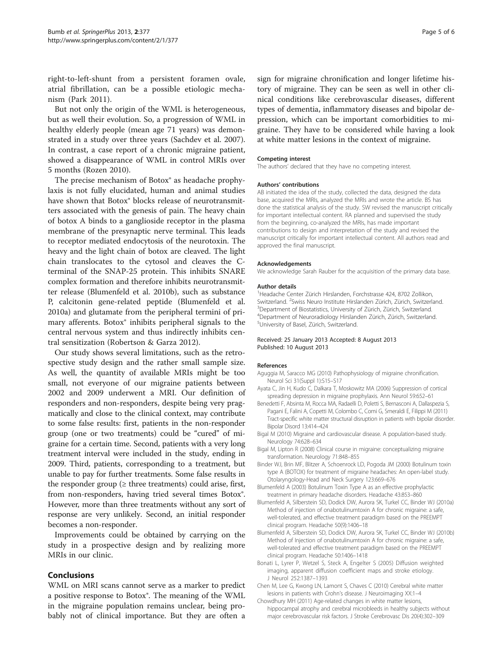<span id="page-4-0"></span>right-to-left-shunt from a persistent foramen ovale, atrial fibrillation, can be a possible etiologic mechanism (Park [2011\)](#page-5-0).

But not only the origin of the WML is heterogeneous, but as well their evolution. So, a progression of WML in healthy elderly people (mean age 71 years) was demonstrated in a study over three years (Sachdev et al. [2007](#page-5-0)). In contrast, a case report of a chronic migraine patient, showed a disappearance of WML in control MRIs over 5 months (Rozen [2010](#page-5-0)).

The precise mechanism of Botox® as headache prophylaxis is not fully elucidated, human and animal studies have shown that Botox® blocks release of neurotransmitters associated with the genesis of pain. The heavy chain of botox A binds to a ganglioside receptor in the plasma membrane of the presynaptic nerve terminal. This leads to receptor mediated endocytosis of the neurotoxin. The heavy and the light chain of botox are cleaved. The light chain translocates to the cytosol and cleaves the Cterminal of the SNAP-25 protein. This inhibits SNARE complex formation and therefore inhibits neurotransmitter release (Blumenfeld et al. 2010b), such as substance P, calcitonin gene-related peptide (Blumenfeld et al. 2010a) and glutamate from the peripheral termini of primary afferents. Botox® inhibits peripheral signals to the central nervous system and thus indirectly inhibits central sensitization (Robertson & Garza [2012\)](#page-5-0).

Our study shows several limitations, such as the retrospective study design and the rather small sample size. As well, the quantity of available MRIs might be too small, not everyone of our migraine patients between 2002 and 2009 underwent a MRI. Our definition of responders and non-responders, despite being very pragmatically and close to the clinical context, may contribute to some false results: first, patients in the non-responder group (one or two treatments) could be "cured" of migraine for a certain time. Second, patients with a very long treatment interval were included in the study, ending in 2009. Third, patients, corresponding to a treatment, but unable to pay for further treatments. Some false results in the responder group  $(\geq)$  three treatments) could arise, first, from non-responders, having tried several times Botox®. However, more than three treatments without any sort of response are very unlikely. Second, an initial responder becomes a non-responder.

Improvements could be obtained by carrying on the study in a prospective design and by realizing more MRIs in our clinic.

#### Conclusions

WML on MRI scans cannot serve as a marker to predict a positive response to Botox®. The meaning of the WML in the migraine population remains unclear, being probably not of clinical importance. But they are often a sign for migraine chronification and longer lifetime history of migraine. They can be seen as well in other clinical conditions like cerebrovascular diseases, different types of dementia, inflammatory diseases and bipolar depression, which can be important comorbidities to migraine. They have to be considered while having a look at white matter lesions in the context of migraine.

#### Competing interest

The authors' declared that they have no competing interest.

#### Authors' contributions

AB initiated the idea of the study, collected the data, designed the data base, acquired the MRIs, analyzed the MRIs and wrote the article. BS has done the statistical analysis of the study. SW revised the manuscript critically for important intellectual content. RA planned and supervised the study from the beginning, co-analyzed the MRIs, has made important contributions to design and interpretation of the study and revised the manuscript critically for important intellectual content. All authors read and approved the final manuscript.

#### Acknowledgements

We acknowledge Sarah Rauber for the acquisition of the primary data base.

#### Author details

<sup>1</sup> Headache Center Zürich Hirslanden, Forchstrasse 424, 8702 Zollikon, Switzerland. <sup>2</sup>Swiss Neuro Institute Hirslanden Zürich, Zürich, Switzerland.<br><sup>3</sup>Department of Biostatistics University of Zürich, Zürich, Switzerland. <sup>3</sup>Department of Biostatistics, University of Zürich, Zürich, Switzerland. 4 Department of Neuroradiology Hirslanden Zürich, Zürich, Switzerland. 5 University of Basel, Zürich, Switzerland.

#### Received: 25 January 2013 Accepted: 8 August 2013 Published: 10 August 2013

#### References

- Aguggia M, Saracco MG (2010) Pathophysiology of migraine chronification. Neurol Sci 31(Suppl 1):S15–S17
- Ayata C, Jin H, Kudo C, Dalkara T, Moskowitz MA (2006) Suppression of cortical spreading depression in migraine prophylaxis. Ann Neurol 59:652–61
- Benedetti F, Absinta M, Rocca MA, Radaelli D, Poletti S, Bernasconi A, Dallaspezia S, Pagani E, Falini A, Copetti M, Colombo C, Comi G, Smeraldi E, Filippi M (2011) Tract-specific white matter structural disruption in patients with bipolar disorder. Bipolar Disord 13:414–424
- Bigal M (2010) Migraine and cardiovascular disease. A population-based study. Neurology 74:628–634
- Bigal M, Lipton R (2008) Clinical course in migraine: conceptualizing migraine transformation. Neurology 71:848–855
- Binder WJ, Brin MF, Blitzer A, Schoenrock LD, Pogoda JM (2000) Botulinum toxin type A (BOTOX) for treatment of migraine headaches: An open-label study. Otolaryngology-Head and Neck Surgery 123:669–676
- Blumenfeld A (2003) Botulinum Toxin Type A as an effective prophylactic treatment in primary headache disorders. Headache 43:853–860
- Blumenfeld A, Silberstein SD, Dodick DW, Aurora SK, Turkel CC, Binder WJ (2010a) Method of injection of onabotulinumtoxin A for chronic migraine: a safe, well-tolerated, and effective treatment paradigm based on the PREEMPT clinical program. Headache 50(9):1406–18
- Blumenfeld A, Silberstein SD, Dodick DW, Aurora SK, Turkel CC, Binder WJ (2010b) Method of Injection of onabotulinumtoxin A for chronic migraine: a safe, well-tolerated and effective treatment paradigm based on the PREEMPT clinical program. Headache 50:1406–1418
- Bonati L, Lyrer P, Wetzel S, Steck A, Engelter S (2005) Diffusion weighted imaging, apparent diffusion coefficient maps and stroke etiology. J Neurol 252:1387–1393
- Chen M, Lee G, Kwong LN, Lamont S, Chaves C (2010) Cerebral white matter lesions in patients with Crohn's disease. J Neuroimaging XX:1–4
- Chowdhury MH (2011) Age-related changes in white matter lesions, hippocampal atrophy and cerebral microbleeds in healthy subjects without major cerebrovascular risk factors. J Stroke Cerebrovasc Dis 20(4):302–309